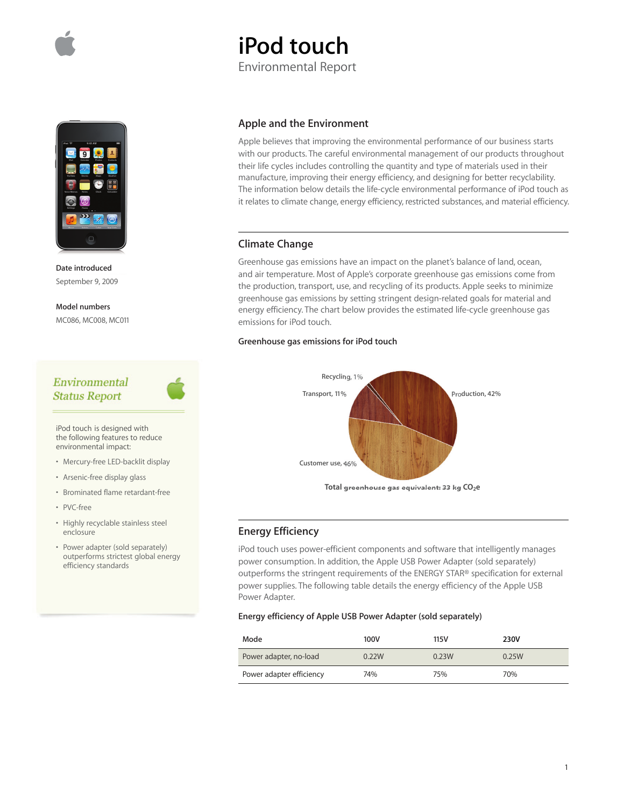



**Date introduced** September 9, 2009

**Model numbers** MC086, MC008, MC011

## Environmental **Status Report**

iPod touch is designed with the following features to reduce environmental impact:

- Mercury-free LED-backlit display
- Arsenic-free display glass
- Brominated flame retardant-free
- PVC-free
- Highly recyclable stainless steel enclosure
- Power adapter (sold separately) outperforms strictest global energy efficiency standards

### **Apple and the Environment**

**iPod touch**

Environmental Report

Apple believes that improving the environmental performance of our business starts with our products. The careful environmental management of our products throughout their life cycles includes controlling the quantity and type of materials used in their manufacture, improving their energy efficiency, and designing for better recyclability. The information below details the life-cycle environmental performance of iPod touch as it relates to climate change, energy efficiency, restricted substances, and material efficiency.

## **Climate Change**

Greenhouse gas emissions have an impact on the planet's balance of land, ocean, and air temperature. Most of Apple's corporate greenhouse gas emissions come from the production, transport, use, and recycling of its products. Apple seeks to minimize greenhouse gas emissions by setting stringent design-related goals for material and energy efficiency. The chart below provides the estimated life-cycle greenhouse gas emissions for iPod touch.

#### **Greenhouse gas emissions for iPod touch**



### **Energy Efficiency**

iPod touch uses power-efficient components and software that intelligently manages power consumption. In addition, the Apple USB Power Adapter (sold separately) outperforms the stringent requirements of the ENERGY STAR® specification for external power supplies. The following table details the energy efficiency of the Apple USB Power Adapter.

### **Energy efficiency of Apple USB Power Adapter (sold separately)**

| Mode                     | 100V  | 115V  | 230V  |
|--------------------------|-------|-------|-------|
| Power adapter, no-load   | 0.22W | 0.23W | 0.25W |
| Power adapter efficiency | 74%   | 75%   | 70%   |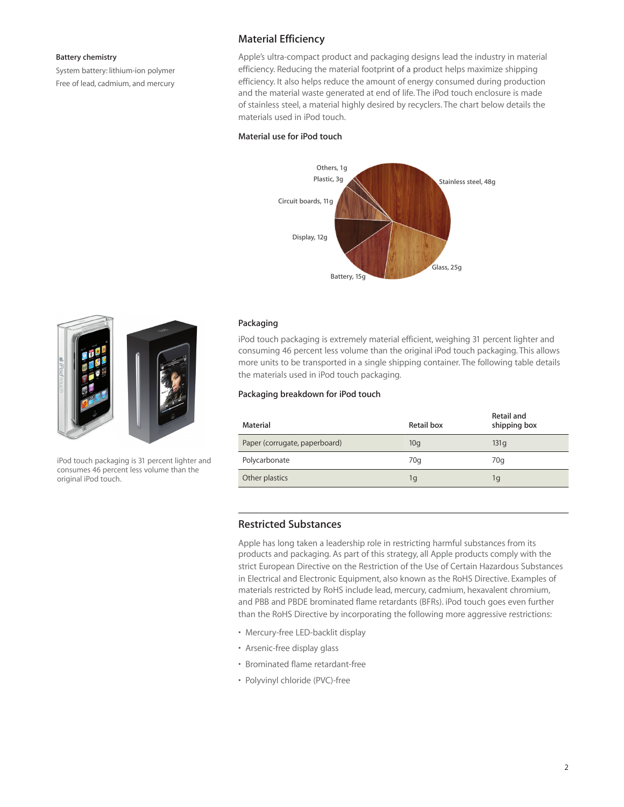#### **Battery chemistry**

System battery: lithium-ion polymer Free of lead, cadmium, and mercury

## **Material Efficiency**

Apple's ultra-compact product and packaging designs lead the industry in material efficiency. Reducing the material footprint of a product helps maximize shipping efficiency. It also helps reduce the amount of energy consumed during production and the material waste generated at end of life. The iPod touch enclosure is made of stainless steel, a material highly desired by recyclers. The chart below details the materials used in iPod touch.

### **Material use for iPod touch**





iPod touch packaging is 31 percent lighter and consumes 46 percent less volume than the original iPod touch.

#### **Packaging**

iPod touch packaging is extremely material efficient, weighing 31 percent lighter and consuming 46 percent less volume than the original iPod touch packaging. This allows more units to be transported in a single shipping container. The following table details the materials used in iPod touch packaging.

#### **Packaging breakdown for iPod touch**

| Material                      | Retail box | Retail and<br>shipping box |
|-------------------------------|------------|----------------------------|
| Paper (corrugate, paperboard) | 10q        | 131q                       |
| Polycarbonate                 | 70q        | 70q                        |
| Other plastics                | 1g         | 1g                         |

## **Restricted Substances**

Apple has long taken a leadership role in restricting harmful substances from its products and packaging. As part of this strategy, all Apple products comply with the strict European Directive on the Restriction of the Use of Certain Hazardous Substances in Electrical and Electronic Equipment, also known as the RoHS Directive. Examples of materials restricted by RoHS include lead, mercury, cadmium, hexavalent chromium, and PBB and PBDE brominated flame retardants (BFRs). iPod touch goes even further than the RoHS Directive by incorporating the following more aggressive restrictions:

- Mercury-free LED-backlit display
- Arsenic-free display glass
- Brominated flame retardant-free
- Polyvinyl chloride (PVC)-free